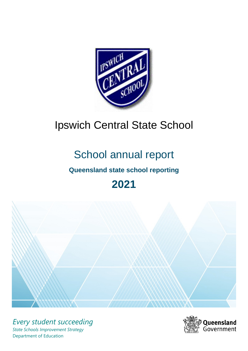

# Ipswich Central State School

# School annual report

# **Queensland state school reporting**

# **2021**



*Every student succeeding State Schools Improvement Strategy* Department of Education

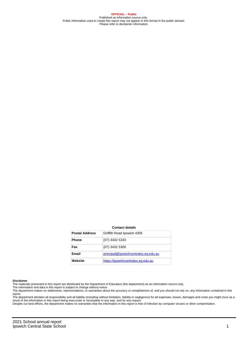**OFFICIAL – Public** Published as information source only. Public information used to create this report may not appear in this format in the public domain Please refer to disclaimer information.

#### **Contact details**

| <b>Postal Address</b> | Griffith Road Ipswich 4305           |
|-----------------------|--------------------------------------|
| <b>Phone</b>          | $(07)$ 3432 5333                     |
| Fax                   | (07) 3432 5300                       |
| Email                 | principal@ipswichcentralss.eq.edu.au |
| Website               | https://ipswichcentralss.eq.edu.au   |

#### **Disclaimer**

The materials presented in this report are distributed by the Department of Education (the department) as an information source only.

The information and data in this report is subject to change without notice.<br>The department makes no statements, representations, or warranties about the accuracy or completeness of, and you should not rely on, any informa report.

The department disclaim all responsibility and all liability (including without limitation, liability in negligence) for all expenses, losses, damages and costs you might incur as a result of the information in this report being inaccurate or incomplete in any way, and for any reason.

Despite our best efforts, the department makes no warranties that the information in this report is free of infection by computer viruses or other contamination.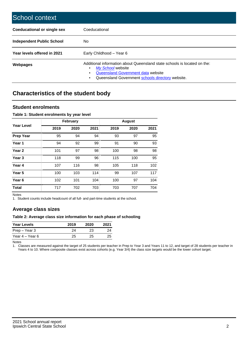| School context                   |                                                                                                                                                                                         |
|----------------------------------|-----------------------------------------------------------------------------------------------------------------------------------------------------------------------------------------|
| Coeducational or single sex      | Coeducational                                                                                                                                                                           |
| <b>Independent Public School</b> | No.                                                                                                                                                                                     |
| Year levels offered in 2021      | Early Childhood - Year 6                                                                                                                                                                |
| Webpages                         | Additional information about Queensland state schools is located on the:<br>My School website<br>Queensland Government data website<br>Queensland Government schools directory website. |

# **Characteristics of the student body**

### **Student enrolments**

#### **Table 1: Student enrolments by year level**

|                   |      | <b>February</b> |      |      | <b>August</b> |      |
|-------------------|------|-----------------|------|------|---------------|------|
| Year Level        | 2019 | 2020            | 2021 | 2019 | 2020          | 2021 |
| <b>Prep Year</b>  | 95   | 94              | 94   | 93   | 97            | 95   |
| Year 1            | 94   | 92              | 99   | 91   | 90            | 93   |
| Year 2            | 101  | 97              | 98   | 100  | 98            | 98   |
| Year <sub>3</sub> | 118  | 99              | 96   | 115  | 100           | 95   |
| Year 4            | 107  | 116             | 98   | 105  | 118           | 102  |
| Year <sub>5</sub> | 100  | 103             | 114  | 99   | 107           | 117  |
| Year <sub>6</sub> | 102  | 101             | 104  | 100  | 97            | 104  |
| <b>Total</b>      | 717  | 702             | 703  | 703  | 707           | 704  |

Notes

1. Student counts include headcount of all full- and part-time students at the school.

## **Average class sizes**

#### **Table 2: Average class size information for each phase of schooling**

| <b>Year Levels</b> | 2019 | 2020 | 2021 |
|--------------------|------|------|------|
| Prep – Year 3      | 24   | 23   | 24   |
| Year 4 – Year 6    | 25   | 25   | 25   |

Notes

1. Classes are measured against the target of 25 students per teacher in Prep to Year 3 and Years 11 to 12, and target of 28 students per teacher in Years 4 to 10. Where composite classes exist across cohorts (e.g. Year 3/4) the class size targets would be the lower cohort target.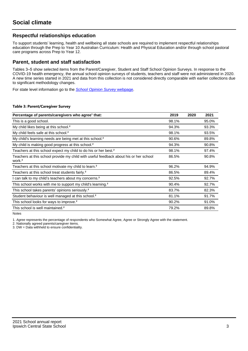## **Respectful relationships education**

To support students' learning, health and wellbeing all state schools are required to implement respectful relationships education through the Prep to Year 10 Australian Curriculum: Health and Physical Education and/or through school pastoral care programs across Prep to Year 12.

### **Parent, student and staff satisfaction**

Tables 3–5 show selected items from the Parent/Caregiver, Student and Staff School Opinion Surveys. In response to the COVID-19 health emergency, the annual school opinion surveys of students, teachers and staff were not administered in 2020. A new time series started in 2021 and data from this collection is not considered directly comparable with earlier collections due to significant methodology changes.

For state level information go to the **[School Opinion Survey](https://qed.qld.gov.au/publications/reports/statistics/schooling/schools/schoolopinionsurvey) webpage**.

#### **Table 3: Parent/Caregiver Survey**

| Percentage of parents/caregivers who agree <sup>1</sup> that:                                               | 2019  | 2020 | 2021  |
|-------------------------------------------------------------------------------------------------------------|-------|------|-------|
| This is a good school.                                                                                      | 98.1% |      | 95.0% |
| My child likes being at this school. <sup>2</sup>                                                           | 94.3% |      | 93.3% |
| My child feels safe at this school. <sup>2</sup>                                                            | 98.1% |      | 93.5% |
| My child's learning needs are being met at this school. <sup>2</sup>                                        | 90.6% |      | 89.8% |
| My child is making good progress at this school. <sup>2</sup>                                               | 94.3% |      | 90.8% |
| Teachers at this school expect my child to do his or her best. <sup>2</sup>                                 | 98.1% |      | 97.4% |
| Teachers at this school provide my child with useful feedback about his or her school<br>work. <sup>2</sup> | 86.5% |      | 90.8% |
| Teachers at this school motivate my child to learn. <sup>2</sup>                                            | 96.2% |      | 94.9% |
| Teachers at this school treat students fairly. <sup>2</sup>                                                 | 86.5% |      | 89.4% |
| can talk to my child's teachers about my concerns. <sup>2</sup>                                             | 92.5% |      | 92.7% |
| This school works with me to support my child's learning. <sup>2</sup>                                      | 90.4% |      | 92.7% |
| This school takes parents' opinions seriously. <sup>2</sup>                                                 | 83.7% |      | 82.3% |
| Student behaviour is well managed at this school. <sup>2</sup>                                              | 81.1% |      | 91.7% |
| This school looks for ways to improve. <sup>2</sup>                                                         | 90.2% |      | 91.0% |
| This school is well maintained. <sup>2</sup>                                                                | 79.2% |      | 89.8% |

Notes

1. Agree represents the percentage of respondents who Somewhat Agree, Agree or Strongly Agree with the statement.

2. Nationally agreed parents/caregiver items.

3. DW = Data withheld to ensure confidentiality.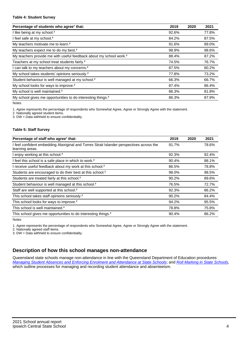#### **Table 4: Student Survey**

| Percentage of students who agree <sup>1</sup> that:                            | 2019  | 2020 | 2021  |
|--------------------------------------------------------------------------------|-------|------|-------|
| I like being at my school. <sup>2</sup>                                        | 92.6% |      | 77.8% |
| I feel safe at my school. <sup>2</sup>                                         | 84.2% |      | 87.5% |
| My teachers motivate me to learn. <sup>2</sup>                                 | 91.6% |      | 89.0% |
| My teachers expect me to do my best. <sup>2</sup>                              | 98.9% |      | 98.6% |
| My teachers provide me with useful feedback about my school work. <sup>2</sup> | 88.4% |      | 87.2% |
| Teachers at my school treat students fairly. <sup>2</sup>                      | 74.5% |      | 76.7% |
| I can talk to my teachers about my concerns. <sup>2</sup>                      | 87.5% |      | 80.2% |
| My school takes students' opinions seriously. <sup>2</sup>                     | 77.8% |      | 73.2% |
| Student behaviour is well managed at my school. <sup>2</sup>                   | 66.3% |      | 66.7% |
| My school looks for ways to improve. <sup>2</sup>                              | 87.4% |      | 86.4% |
| My school is well maintained. <sup>2</sup>                                     | 86.3% |      | 81.8% |
| My school gives me opportunities to do interesting things. <sup>2</sup>        | 86.3% |      | 87.9% |

Notes

1. Agree represents the percentage of respondents who Somewhat Agree, Agree or Strongly Agree with the statement.

2. Nationally agreed student items.

3. DW = Data withheld to ensure confidentiality.

#### **Table 5: Staff Survey**

| Percentage of staff who agree <sup>1</sup> that:                                                            | 2019  | 2020 | 2021  |
|-------------------------------------------------------------------------------------------------------------|-------|------|-------|
| I feel confident embedding Aboriginal and Torres Strait Islander perspectives across the<br>learning areas. | 91.7% |      | 78.6% |
| I enjoy working at this school. <sup>2</sup>                                                                | 92.3% |      | 92.4% |
| I feel this school is a safe place in which to work. <sup>2</sup>                                           | 90.4% |      | 88.1% |
| I receive useful feedback about my work at this school. <sup>2</sup>                                        | 86.5% |      | 78.8% |
| Students are encouraged to do their best at this school. <sup>2</sup>                                       | 98.0% |      | 98.5% |
| Students are treated fairly at this school. <sup>2</sup>                                                    | 90.2% |      | 89.6% |
| Student behaviour is well managed at this school. <sup>2</sup>                                              | 76.5% |      | 72.7% |
| Staff are well supported at this school. <sup>2</sup>                                                       | 92.3% |      | 86.2% |
| This school takes staff opinions seriously. <sup>2</sup>                                                    | 90.2% |      | 84.4% |
| This school looks for ways to improve. <sup>2</sup>                                                         | 94.2% |      | 95.5% |
| This school is well maintained. <sup>2</sup>                                                                | 78.8% |      | 75.8% |
| This school gives me opportunities to do interesting things. <sup>2</sup>                                   | 90.4% |      | 86.2% |

Notes

1. Agree represents the percentage of respondents who Somewhat Agree, Agree or Strongly Agree with the statement.

2. Nationally agreed staff items.

3. DW = Data withheld to ensure confidentiality.

## **Description of how this school manages non-attendance**

Queensland state schools manage non-attendance in line with the Queensland Department of Education procedures: [Managing Student Absences and Enforcing Enrolment and Attendance at State Schools](https://ppr.qed.qld.gov.au/pp/managing-student-absences-and-enforcing-enrolment-and-attendance-at-state-schools-procedure); and [Roll Marking in State Schools,](https://ppr.qed.qld.gov.au/pp/roll-marking-in-state-schools-procedure) which outline processes for managing and recording student attendance and absenteeism.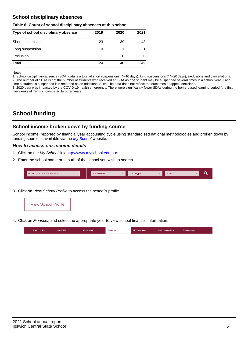## **School disciplinary absences**

#### **Table 6: Count of school disciplinary absences at this school**

| Type of school disciplinary absence | 2019 | 2020 | 2021 |
|-------------------------------------|------|------|------|
| Short suspension                    | 23   | 39   | 48   |
| Long suspension                     | O    |      |      |
| Exclusion                           |      |      |      |
| Total                               | 24   | 40   | 49   |

Notes

1. School disciplinary absence (SDA) data is a total of short suspensions (1–10 days), long suspensions (11–20 days), exclusions and cancellations. 2. The number of SDAs is not the number of students who received an SDA as one student may be suspended several times in a school year. Each time a student is suspended it is recorded as an additional SDA. The data does not reflect the outcomes of appeal decisions.

3. 2020 data was impacted by the COVID-19 health emergency. There were significantly fewer SDAs during the home-based learning period (the first five weeks of Term 2) compared to other years.

# **School funding**

## **School income broken down by funding source**

School income, reported by financial year accounting cycle using standardised national methodologies and broken down by funding source is available via the  $My$  School website.

#### **How to access our income details**

- 1. Click on the My School link <http://www.myschool.edu.au/>.
- 2. Enter the school name or suburb of the school you wish to search.

|  | Search by school name or suburb |  | <b>School sector</b> |  | $\sim$ and $\sim$ represents the set of $\sim$ | <b>State</b> |  |  |  |
|--|---------------------------------|--|----------------------|--|------------------------------------------------|--------------|--|--|--|
|--|---------------------------------|--|----------------------|--|------------------------------------------------|--------------|--|--|--|

3. Click on View School Profile to access the school's profile.



4. Click on Finances and select the appropriate year to view school financial information.

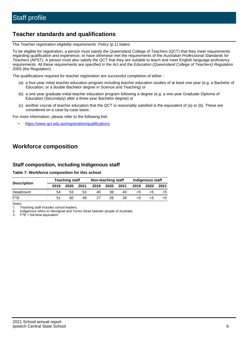## **Teacher standards and qualifications**

The Teacher registration eligibility requirements: Policy (p.1) states:

To be eligible for registration, a person must satisfy the Queensland College of Teachers (QCT) that they meet requirements regarding qualification and experience, or have otherwise met the requirements of the Australian Professional Standards for Teachers (APST). A person must also satisfy the QCT that they are suitable to teach and meet English language proficiency requirements. All these requirements are specified in the Act and the Education (Queensland College of Teachers) Regulation 2005 (the Regulation).

The qualifications required for teacher registration are successful completion of either -

- (a) a four-year initial teacher education program including teacher education studies of at least one year (e.g. a Bachelor of Education, or a double Bachelor degree in Science and Teaching) or
- (b) a one-year graduate initial teacher education program following a degree (e.g. a one-year Graduate Diploma of Education (Secondary) after a three-year Bachelor degree) or
- (c) another course of teacher education that the QCT is reasonably satisfied is the equivalent of (a) or (b). These are considered on a case-by-case basis.

For more information, please refer to the following link:

• <https://www.qct.edu.au/registration/qualifications>

# **Workforce composition**

## **Staff composition, including Indigenous staff**

#### **Table 7: Workforce composition for this school**

|                    |      | <b>Teaching staff</b> |      |      | Non-teaching staff |      | Indigenous staff |      |      |
|--------------------|------|-----------------------|------|------|--------------------|------|------------------|------|------|
| <b>Description</b> | 2019 | 2020                  | 2021 | 2019 | 2020               | 2021 | 2019             | 2020 | 2021 |
| Headcount          | 54   | 53                    | 53   | 40   | 38                 | 40   | <5               | <5   |      |
| <b>FTF</b>         | 51   | 50                    | 49   | 27   | 26                 | 28   | <5               | ה>   |      |

Notes

1. Teaching staff includes school leaders.

2. Indigenous refers to Aboriginal and Torres Strait Islander people of Australia.

3. FTE = full-time equivalent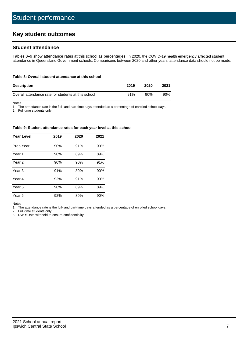# **Key student outcomes**

## **Student attendance**

Tables 8–9 show attendance rates at this school as percentages. In 2020, the COVID-19 health emergency affected student attendance in Queensland Government schools. Comparisons between 2020 and other years' attendance data should not be made.

#### **Table 8: Overall student attendance at this school**

| <b>Description</b>                                  | 2019 | 2020 | 2021   |
|-----------------------------------------------------|------|------|--------|
| Overall attendance rate for students at this school | 91%  | 90%  | $90\%$ |

Notes

1. The attendance rate is the full- and part-time days attended as a percentage of enrolled school days.

2. Full-time students only.

#### **Table 9: Student attendance rates for each year level at this school**

| <b>Year Level</b> | 2019 | 2020 | 2021 |
|-------------------|------|------|------|
| Prep Year         | 90%  | 91%  | 90%  |
| Year <sub>1</sub> | 90%  | 89%  | 89%  |
| Year 2            | 90%  | 90%  | 91%  |
| Year <sub>3</sub> | 91%  | 89%  | 90%  |
| Year 4            | 92%  | 91%  | 90%  |
| Year 5            | 90%  | 89%  | 89%  |
| Year <sub>6</sub> | 92%  | 89%  | 90%  |

Notes

1. The attendance rate is the full- and part-time days attended as a percentage of enrolled school days.<br>2. Full-time students only.

Full-time students only.

3. DW = Data withheld to ensure confidentiality